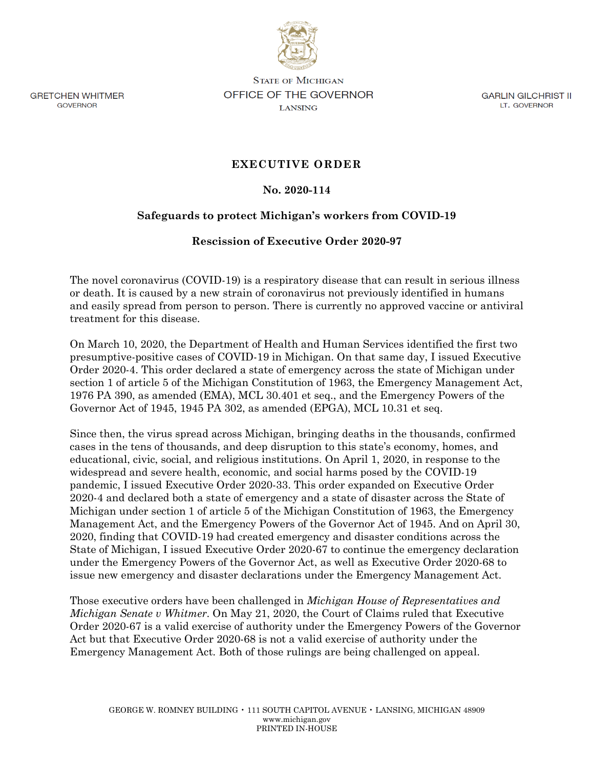**GRETCHEN WHITMER GOVERNOR** 

**STATE OF MICHIGAN** OFFICE OF THE GOVERNOR **LANSING** 

**GARLIN GILCHRIST II** LT. GOVERNOR

## **EXECUTIVE ORDER**

## **No. 2020-114**

## **Safeguards to protect Michigan's workers from COVID-19**

## **Rescission of Executive Order 2020-97**

The novel coronavirus (COVID-19) is a respiratory disease that can result in serious illness or death. It is caused by a new strain of coronavirus not previously identified in humans and easily spread from person to person. There is currently no approved vaccine or antiviral treatment for this disease.

On March 10, 2020, the Department of Health and Human Services identified the first two presumptive-positive cases of COVID-19 in Michigan. On that same day, I issued Executive Order 2020-4. This order declared a state of emergency across the state of Michigan under section 1 of article 5 of the Michigan Constitution of 1963, the Emergency Management Act, 1976 PA 390, as amended (EMA), MCL 30.401 et seq., and the Emergency Powers of the Governor Act of 1945, 1945 PA 302, as amended (EPGA), MCL 10.31 et seq.

Since then, the virus spread across Michigan, bringing deaths in the thousands, confirmed cases in the tens of thousands, and deep disruption to this state's economy, homes, and educational, civic, social, and religious institutions. On April 1, 2020, in response to the widespread and severe health, economic, and social harms posed by the COVID-19 pandemic, I issued Executive Order 2020-33. This order expanded on Executive Order 2020-4 and declared both a state of emergency and a state of disaster across the State of Michigan under section 1 of article 5 of the Michigan Constitution of 1963, the Emergency Management Act, and the Emergency Powers of the Governor Act of 1945. And on April 30, 2020, finding that COVID-19 had created emergency and disaster conditions across the State of Michigan, I issued Executive Order 2020-67 to continue the emergency declaration under the Emergency Powers of the Governor Act, as well as Executive Order 2020-68 to issue new emergency and disaster declarations under the Emergency Management Act.

Those executive orders have been challenged in *Michigan House of Representatives and Michigan Senate v Whitmer*. On May 21, 2020, the Court of Claims ruled that Executive Order 2020-67 is a valid exercise of authority under the Emergency Powers of the Governor Act but that Executive Order 2020-68 is not a valid exercise of authority under the Emergency Management Act. Both of those rulings are being challenged on appeal.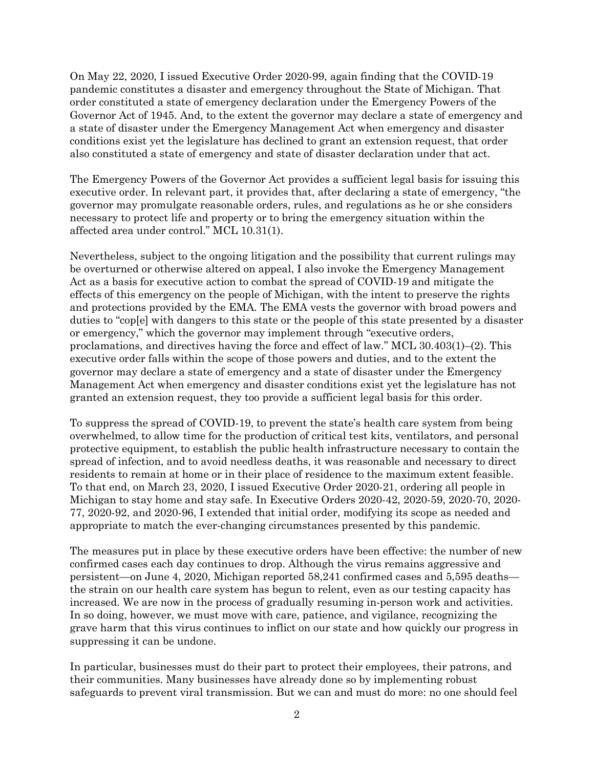On May 22, 2020, I issued Executive Order 2020-99, again finding that the COVID-19 pandemic constitutes a disaster and emergency throughout the State of Michigan. That order constituted a state of emergency declaration under the Emergency Powers of the Governor Act of 1945. And, to the extent the governor may declare a state of emergency and a state of disaster under the Emergency Management Act when emergency and disaster conditions exist yet the legislature has declined to grant an extension request, that order also constituted a state of emergency and state of disaster declaration under that act.

The Emergency Powers of the Governor Act provides a sufficient legal basis for issuing this executive order. In relevant part, it provides that, after declaring a state of emergency, "the governor may promulgate reasonable orders, rules, and regulations as he or she considers necessary to protect life and property or to bring the emergency situation within the affected area under control." MCL 10.31(1).

Nevertheless, subject to the ongoing litigation and the possibility that current rulings may be overturned or otherwise altered on appeal, I also invoke the Emergency Management Act as a basis for executive action to combat the spread of COVID-19 and mitigate the effects of this emergency on the people of Michigan, with the intent to preserve the rights and protections provided by the EMA. The EMA vests the governor with broad powers and duties to "cop[e] with dangers to this state or the people of this state presented by a disaster or emergency," which the governor may implement through "executive orders, proclamations, and directives having the force and effect of law." MCL 30.403(1)–(2). This executive order falls within the scope of those powers and duties, and to the extent the governor may declare a state of emergency and a state of disaster under the Emergency Management Act when emergency and disaster conditions exist yet the legislature has not granted an extension request, they too provide a sufficient legal basis for this order.

To suppress the spread of COVID-19, to prevent the state's health care system from being overwhelmed, to allow time for the production of critical test kits, ventilators, and personal protective equipment, to establish the public health infrastructure necessary to contain the spread of infection, and to avoid needless deaths, it was reasonable and necessary to direct residents to remain at home or in their place of residence to the maximum extent feasible. To that end, on March 23, 2020, I issued Executive Order 2020-21, ordering all people in Michigan to stay home and stay safe. In Executive Orders 2020-42, 2020-59, 2020-70, 2020- 77, 2020-92, and 2020-96, I extended that initial order, modifying its scope as needed and appropriate to match the ever-changing circumstances presented by this pandemic.

The measures put in place by these executive orders have been effective: the number of new confirmed cases each day continues to drop. Although the virus remains aggressive and persistent—on June 4, 2020, Michigan reported 58,241 confirmed cases and 5,595 deaths the strain on our health care system has begun to relent, even as our testing capacity has increased. We are now in the process of gradually resuming in-person work and activities. In so doing, however, we must move with care, patience, and vigilance, recognizing the grave harm that this virus continues to inflict on our state and how quickly our progress in suppressing it can be undone.

In particular, businesses must do their part to protect their employees, their patrons, and their communities. Many businesses have already done so by implementing robust safeguards to prevent viral transmission. But we can and must do more: no one should feel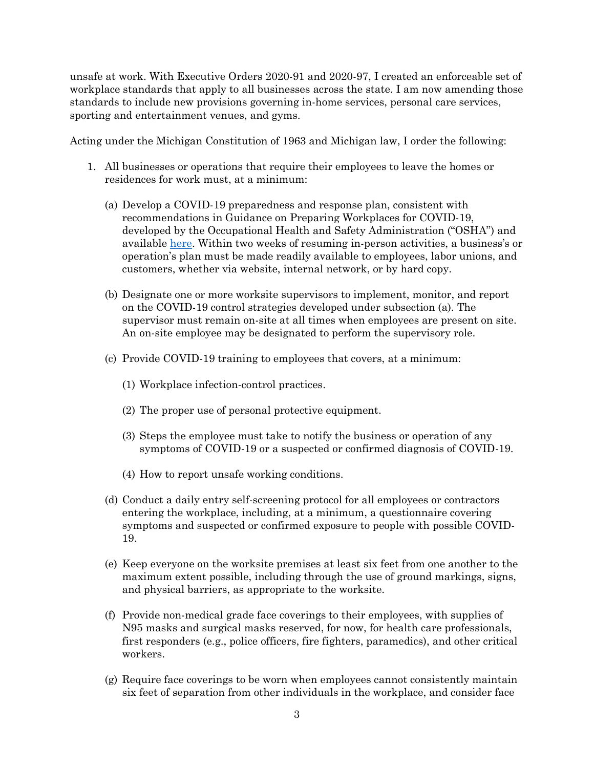unsafe at work. With Executive Orders 2020-91 and 2020-97, I created an enforceable set of workplace standards that apply to all businesses across the state. I am now amending those standards to include new provisions governing in-home services, personal care services, sporting and entertainment venues, and gyms.

Acting under the Michigan Constitution of 1963 and Michigan law, I order the following:

- 1. All businesses or operations that require their employees to leave the homes or residences for work must, at a minimum:
	- (a) Develop a COVID-19 preparedness and response plan, consistent with recommendations in Guidance on Preparing Workplaces for COVID-19, developed by the Occupational Health and Safety Administration ("OSHA") and available here. Within two weeks of resuming in-person activities, a business's or operation's plan must be made readily available to employees, labor unions, and customers, whether via website, internal network, or by hard copy.
	- (b) Designate one or more worksite supervisors to implement, monitor, and report on the COVID-19 control strategies developed under subsection (a). The supervisor must remain on-site at all times when employees are present on site. An on-site employee may be designated to perform the supervisory role.
	- (c) Provide COVID-19 training to employees that covers, at a minimum:
		- (1) Workplace infection-control practices.
		- (2) The proper use of personal protective equipment.
		- (3) Steps the employee must take to notify the business or operation of any symptoms of COVID-19 or a suspected or confirmed diagnosis of COVID-19.
		- (4) How to report unsafe working conditions.
	- (d) Conduct a daily entry self-screening protocol for all employees or contractors entering the workplace, including, at a minimum, a questionnaire covering symptoms and suspected or confirmed exposure to people with possible COVID-19.
	- (e) Keep everyone on the worksite premises at least six feet from one another to the maximum extent possible, including through the use of ground markings, signs, and physical barriers, as appropriate to the worksite.
	- (f) Provide non-medical grade face coverings to their employees, with supplies of N95 masks and surgical masks reserved, for now, for health care professionals, first responders (e.g., police officers, fire fighters, paramedics), and other critical workers.
	- (g) Require face coverings to be worn when employees cannot consistently maintain six feet of separation from other individuals in the workplace, and consider face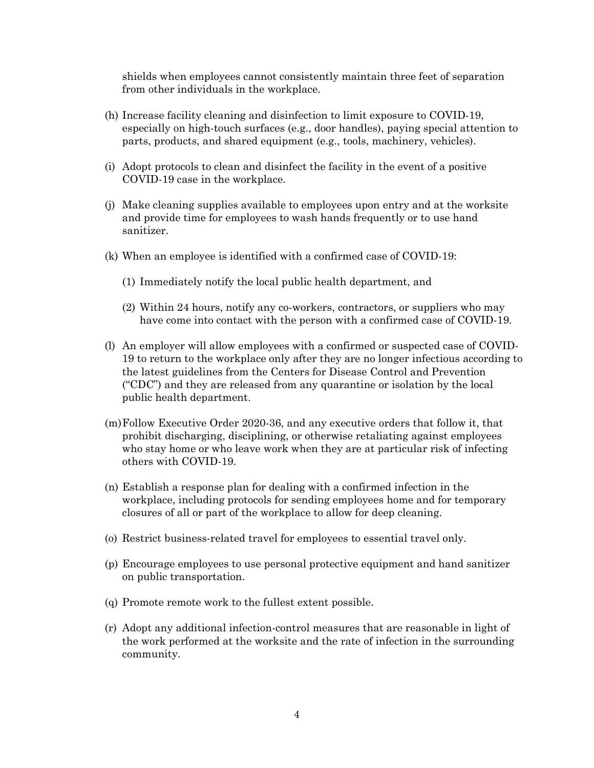shields when employees cannot consistently maintain three feet of separation from other individuals in the workplace.

- (h) Increase facility cleaning and disinfection to limit exposure to COVID-19, especially on high-touch surfaces (e.g., door handles), paying special attention to parts, products, and shared equipment (e.g., tools, machinery, vehicles).
- (i) Adopt protocols to clean and disinfect the facility in the event of a positive COVID-19 case in the workplace.
- (j) Make cleaning supplies available to employees upon entry and at the worksite and provide time for employees to wash hands frequently or to use hand sanitizer.
- (k) When an employee is identified with a confirmed case of COVID-19:
	- (1) Immediately notify the local public health department, and
	- (2) Within 24 hours, notify any co-workers, contractors, or suppliers who may have come into contact with the person with a confirmed case of COVID-19.
- (l) An employer will allow employees with a confirmed or suspected case of COVID-19 to return to the workplace only after they are no longer infectious according to the latest guidelines from the Centers for Disease Control and Prevention ("CDC") and they are released from any quarantine or isolation by the local public health department.
- (m)Follow Executive Order 2020-36, and any executive orders that follow it, that prohibit discharging, disciplining, or otherwise retaliating against employees who stay home or who leave work when they are at particular risk of infecting others with COVID-19.
- (n) Establish a response plan for dealing with a confirmed infection in the workplace, including protocols for sending employees home and for temporary closures of all or part of the workplace to allow for deep cleaning.
- (o) Restrict business-related travel for employees to essential travel only.
- (p) Encourage employees to use personal protective equipment and hand sanitizer on public transportation.
- (q) Promote remote work to the fullest extent possible.
- (r) Adopt any additional infection-control measures that are reasonable in light of the work performed at the worksite and the rate of infection in the surrounding community.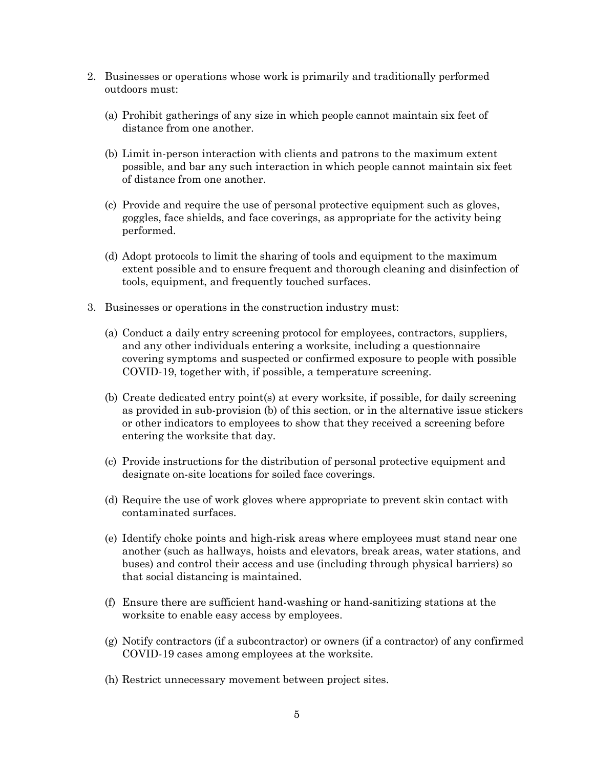- 2. Businesses or operations whose work is primarily and traditionally performed outdoors must:
	- (a) Prohibit gatherings of any size in which people cannot maintain six feet of distance from one another.
	- (b) Limit in-person interaction with clients and patrons to the maximum extent possible, and bar any such interaction in which people cannot maintain six feet of distance from one another.
	- (c) Provide and require the use of personal protective equipment such as gloves, goggles, face shields, and face coverings, as appropriate for the activity being performed.
	- (d) Adopt protocols to limit the sharing of tools and equipment to the maximum extent possible and to ensure frequent and thorough cleaning and disinfection of tools, equipment, and frequently touched surfaces.
- 3. Businesses or operations in the construction industry must:
	- (a) Conduct a daily entry screening protocol for employees, contractors, suppliers, and any other individuals entering a worksite, including a questionnaire covering symptoms and suspected or confirmed exposure to people with possible COVID-19, together with, if possible, a temperature screening.
	- (b) Create dedicated entry point(s) at every worksite, if possible, for daily screening as provided in sub-provision (b) of this section, or in the alternative issue stickers or other indicators to employees to show that they received a screening before entering the worksite that day.
	- (c) Provide instructions for the distribution of personal protective equipment and designate on-site locations for soiled face coverings.
	- (d) Require the use of work gloves where appropriate to prevent skin contact with contaminated surfaces.
	- (e) Identify choke points and high-risk areas where employees must stand near one another (such as hallways, hoists and elevators, break areas, water stations, and buses) and control their access and use (including through physical barriers) so that social distancing is maintained.
	- (f) Ensure there are sufficient hand-washing or hand-sanitizing stations at the worksite to enable easy access by employees.
	- (g) Notify contractors (if a subcontractor) or owners (if a contractor) of any confirmed COVID-19 cases among employees at the worksite.
	- (h) Restrict unnecessary movement between project sites.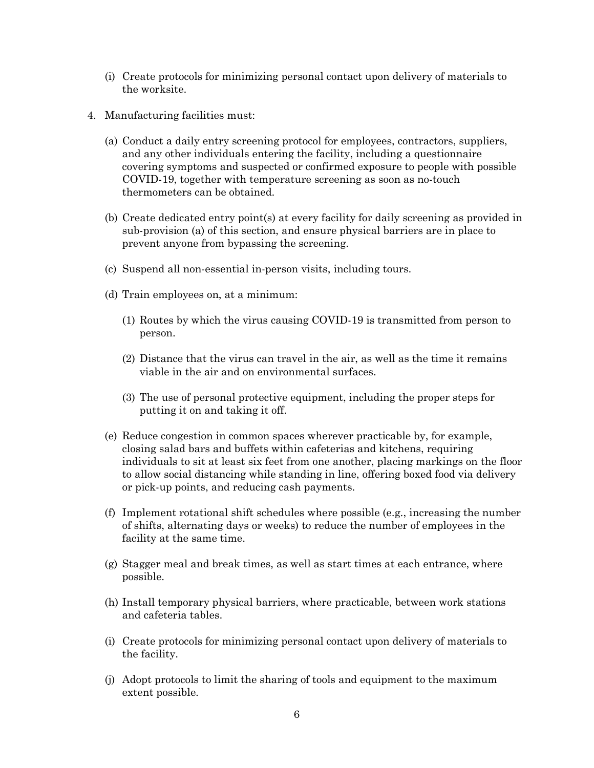- (i) Create protocols for minimizing personal contact upon delivery of materials to the worksite.
- 4. Manufacturing facilities must:
	- (a) Conduct a daily entry screening protocol for employees, contractors, suppliers, and any other individuals entering the facility, including a questionnaire covering symptoms and suspected or confirmed exposure to people with possible COVID-19, together with temperature screening as soon as no-touch thermometers can be obtained.
	- (b) Create dedicated entry point(s) at every facility for daily screening as provided in sub-provision (a) of this section, and ensure physical barriers are in place to prevent anyone from bypassing the screening.
	- (c) Suspend all non-essential in-person visits, including tours.
	- (d) Train employees on, at a minimum:
		- (1) Routes by which the virus causing COVID-19 is transmitted from person to person.
		- (2) Distance that the virus can travel in the air, as well as the time it remains viable in the air and on environmental surfaces.
		- (3) The use of personal protective equipment, including the proper steps for putting it on and taking it off.
	- (e) Reduce congestion in common spaces wherever practicable by, for example, closing salad bars and buffets within cafeterias and kitchens, requiring individuals to sit at least six feet from one another, placing markings on the floor to allow social distancing while standing in line, offering boxed food via delivery or pick-up points, and reducing cash payments.
	- (f) Implement rotational shift schedules where possible (e.g., increasing the number of shifts, alternating days or weeks) to reduce the number of employees in the facility at the same time.
	- (g) Stagger meal and break times, as well as start times at each entrance, where possible.
	- (h) Install temporary physical barriers, where practicable, between work stations and cafeteria tables.
	- (i) Create protocols for minimizing personal contact upon delivery of materials to the facility.
	- (j) Adopt protocols to limit the sharing of tools and equipment to the maximum extent possible.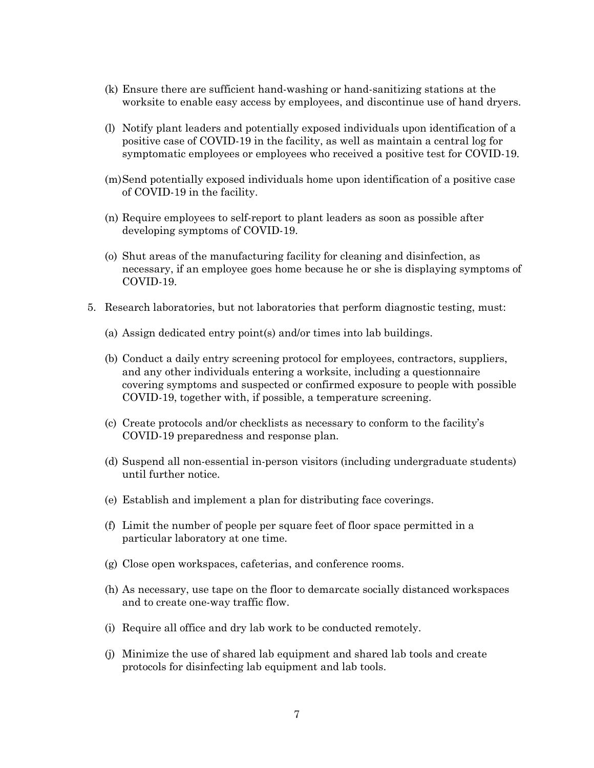- (k) Ensure there are sufficient hand-washing or hand-sanitizing stations at the worksite to enable easy access by employees, and discontinue use of hand dryers.
- (l) Notify plant leaders and potentially exposed individuals upon identification of a positive case of COVID-19 in the facility, as well as maintain a central log for symptomatic employees or employees who received a positive test for COVID-19.
- (m)Send potentially exposed individuals home upon identification of a positive case of COVID-19 in the facility.
- (n) Require employees to self-report to plant leaders as soon as possible after developing symptoms of COVID-19.
- (o) Shut areas of the manufacturing facility for cleaning and disinfection, as necessary, if an employee goes home because he or she is displaying symptoms of COVID-19.
- 5. Research laboratories, but not laboratories that perform diagnostic testing, must:
	- (a) Assign dedicated entry point(s) and/or times into lab buildings.
	- (b) Conduct a daily entry screening protocol for employees, contractors, suppliers, and any other individuals entering a worksite, including a questionnaire covering symptoms and suspected or confirmed exposure to people with possible COVID-19, together with, if possible, a temperature screening.
	- (c) Create protocols and/or checklists as necessary to conform to the facility's COVID-19 preparedness and response plan.
	- (d) Suspend all non-essential in-person visitors (including undergraduate students) until further notice.
	- (e) Establish and implement a plan for distributing face coverings.
	- (f) Limit the number of people per square feet of floor space permitted in a particular laboratory at one time.
	- (g) Close open workspaces, cafeterias, and conference rooms.
	- (h) As necessary, use tape on the floor to demarcate socially distanced workspaces and to create one-way traffic flow.
	- (i) Require all office and dry lab work to be conducted remotely.
	- (j) Minimize the use of shared lab equipment and shared lab tools and create protocols for disinfecting lab equipment and lab tools.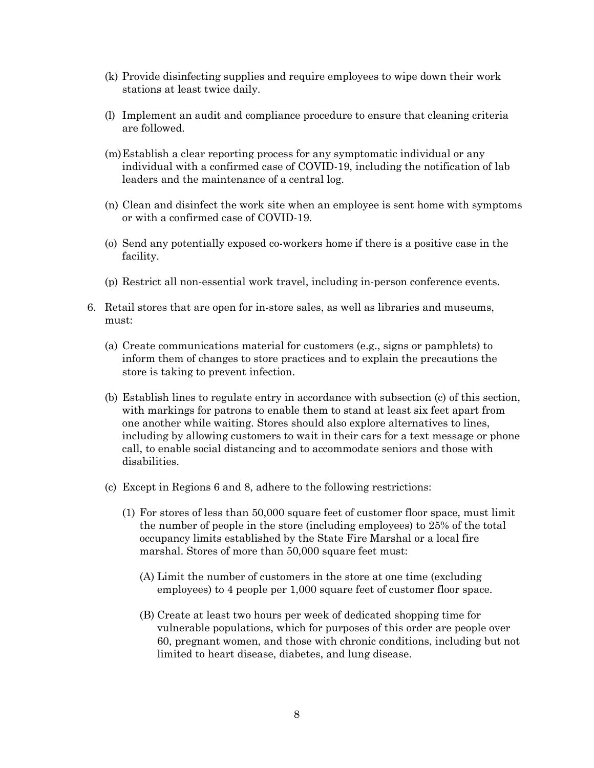- (k) Provide disinfecting supplies and require employees to wipe down their work stations at least twice daily.
- (l) Implement an audit and compliance procedure to ensure that cleaning criteria are followed.
- (m)Establish a clear reporting process for any symptomatic individual or any individual with a confirmed case of COVID-19, including the notification of lab leaders and the maintenance of a central log.
- (n) Clean and disinfect the work site when an employee is sent home with symptoms or with a confirmed case of COVID-19.
- (o) Send any potentially exposed co-workers home if there is a positive case in the facility.
- (p) Restrict all non-essential work travel, including in-person conference events.
- 6. Retail stores that are open for in-store sales, as well as libraries and museums, must:
	- (a) Create communications material for customers (e.g., signs or pamphlets) to inform them of changes to store practices and to explain the precautions the store is taking to prevent infection.
	- (b) Establish lines to regulate entry in accordance with subsection (c) of this section, with markings for patrons to enable them to stand at least six feet apart from one another while waiting. Stores should also explore alternatives to lines, including by allowing customers to wait in their cars for a text message or phone call, to enable social distancing and to accommodate seniors and those with disabilities.
	- (c) Except in Regions 6 and 8, adhere to the following restrictions:
		- (1) For stores of less than 50,000 square feet of customer floor space, must limit the number of people in the store (including employees) to 25% of the total occupancy limits established by the State Fire Marshal or a local fire marshal. Stores of more than 50,000 square feet must:
			- (A) Limit the number of customers in the store at one time (excluding employees) to 4 people per 1,000 square feet of customer floor space.
			- (B) Create at least two hours per week of dedicated shopping time for vulnerable populations, which for purposes of this order are people over 60, pregnant women, and those with chronic conditions, including but not limited to heart disease, diabetes, and lung disease.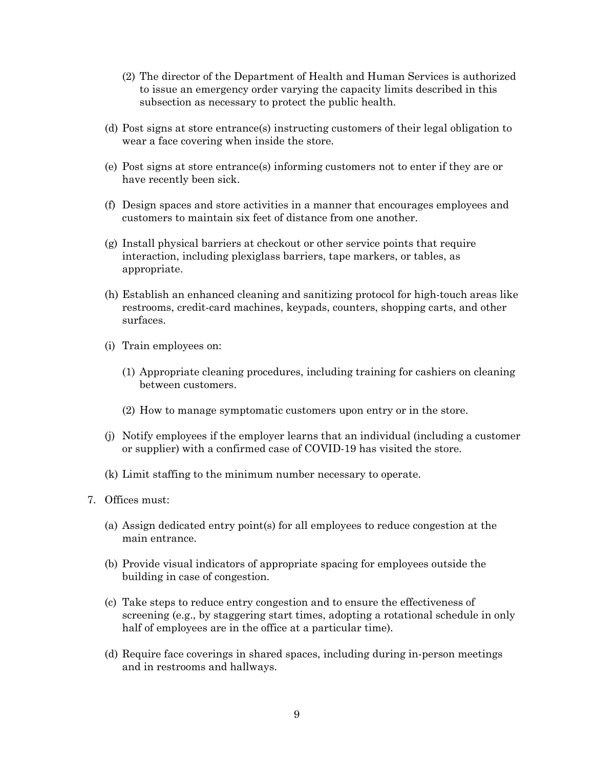- (2) The director of the Department of Health and Human Services is authorized to issue an emergency order varying the capacity limits described in this subsection as necessary to protect the public health.
- (d) Post signs at store entrance(s) instructing customers of their legal obligation to wear a face covering when inside the store.
- (e) Post signs at store entrance(s) informing customers not to enter if they are or have recently been sick.
- (f) Design spaces and store activities in a manner that encourages employees and customers to maintain six feet of distance from one another.
- (g) Install physical barriers at checkout or other service points that require interaction, including plexiglass barriers, tape markers, or tables, as appropriate.
- (h) Establish an enhanced cleaning and sanitizing protocol for high-touch areas like restrooms, credit-card machines, keypads, counters, shopping carts, and other surfaces.
- (i) Train employees on:
	- (1) Appropriate cleaning procedures, including training for cashiers on cleaning between customers.
	- (2) How to manage symptomatic customers upon entry or in the store.
- (j) Notify employees if the employer learns that an individual (including a customer or supplier) with a confirmed case of COVID-19 has visited the store.
- (k) Limit staffing to the minimum number necessary to operate.
- 7. Offices must:
	- (a) Assign dedicated entry point(s) for all employees to reduce congestion at the main entrance.
	- (b) Provide visual indicators of appropriate spacing for employees outside the building in case of congestion.
	- (c) Take steps to reduce entry congestion and to ensure the effectiveness of screening (e.g., by staggering start times, adopting a rotational schedule in only half of employees are in the office at a particular time).
	- (d) Require face coverings in shared spaces, including during in-person meetings and in restrooms and hallways.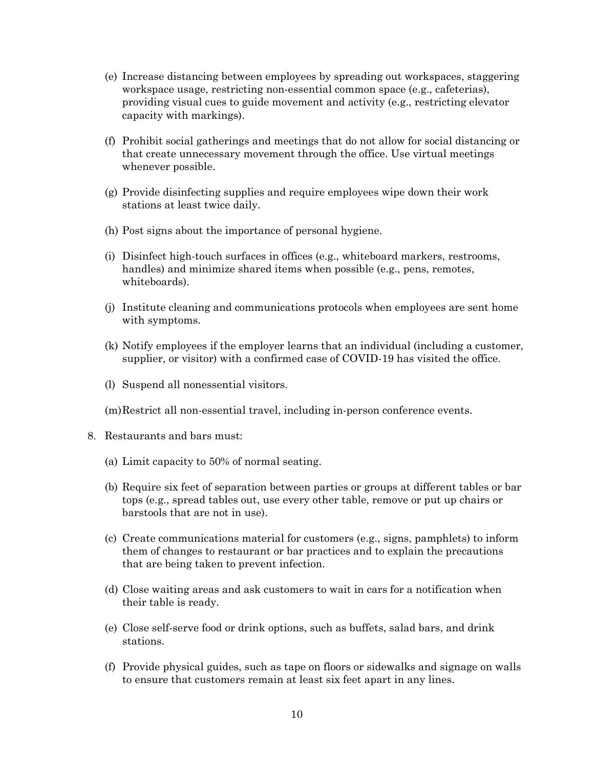- (e) Increase distancing between employees by spreading out workspaces, staggering workspace usage, restricting non-essential common space (e.g., cafeterias), providing visual cues to guide movement and activity (e.g., restricting elevator capacity with markings).
- (f) Prohibit social gatherings and meetings that do not allow for social distancing or that create unnecessary movement through the office. Use virtual meetings whenever possible.
- (g) Provide disinfecting supplies and require employees wipe down their work stations at least twice daily.
- (h) Post signs about the importance of personal hygiene.
- (i) Disinfect high-touch surfaces in offices (e.g., whiteboard markers, restrooms, handles) and minimize shared items when possible (e.g., pens, remotes, whiteboards).
- (j) Institute cleaning and communications protocols when employees are sent home with symptoms.
- (k) Notify employees if the employer learns that an individual (including a customer, supplier, or visitor) with a confirmed case of COVID-19 has visited the office.
- (l) Suspend all nonessential visitors.
- (m)Restrict all non-essential travel, including in-person conference events.
- 8. Restaurants and bars must:
	- (a) Limit capacity to 50% of normal seating.
	- (b) Require six feet of separation between parties or groups at different tables or bar tops (e.g., spread tables out, use every other table, remove or put up chairs or barstools that are not in use).
	- (c) Create communications material for customers (e.g., signs, pamphlets) to inform them of changes to restaurant or bar practices and to explain the precautions that are being taken to prevent infection.
	- (d) Close waiting areas and ask customers to wait in cars for a notification when their table is ready.
	- (e) Close self-serve food or drink options, such as buffets, salad bars, and drink stations.
	- (f) Provide physical guides, such as tape on floors or sidewalks and signage on walls to ensure that customers remain at least six feet apart in any lines.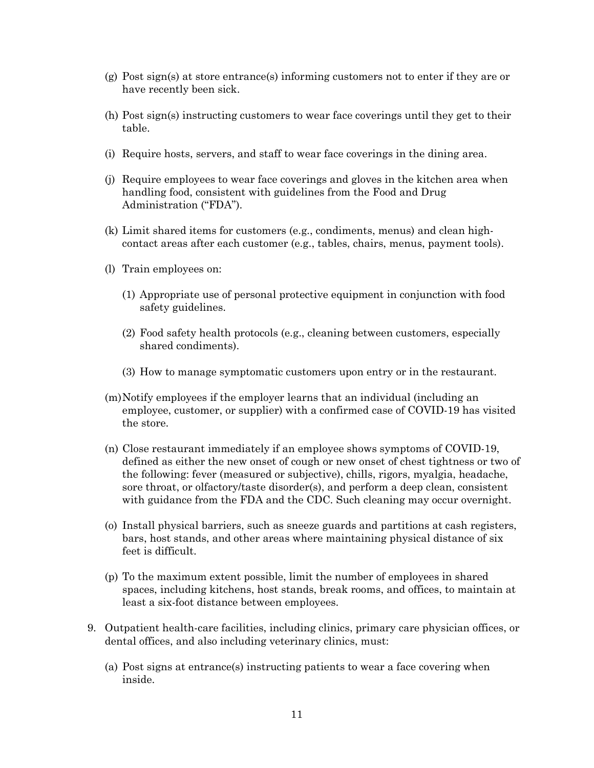- (g) Post sign(s) at store entrance(s) informing customers not to enter if they are or have recently been sick.
- (h) Post sign(s) instructing customers to wear face coverings until they get to their table.
- (i) Require hosts, servers, and staff to wear face coverings in the dining area.
- (j) Require employees to wear face coverings and gloves in the kitchen area when handling food, consistent with guidelines from the Food and Drug Administration ("FDA").
- (k) Limit shared items for customers (e.g., condiments, menus) and clean highcontact areas after each customer (e.g., tables, chairs, menus, payment tools).
- (l) Train employees on:
	- (1) Appropriate use of personal protective equipment in conjunction with food safety guidelines.
	- (2) Food safety health protocols (e.g., cleaning between customers, especially shared condiments).
	- (3) How to manage symptomatic customers upon entry or in the restaurant.
- (m)Notify employees if the employer learns that an individual (including an employee, customer, or supplier) with a confirmed case of COVID-19 has visited the store.
- (n) Close restaurant immediately if an employee shows symptoms of COVID-19, defined as either the new onset of cough or new onset of chest tightness or two of the following: fever (measured or subjective), chills, rigors, myalgia, headache, sore throat, or olfactory/taste disorder(s), and perform a deep clean, consistent with guidance from the FDA and the CDC. Such cleaning may occur overnight.
- (o) Install physical barriers, such as sneeze guards and partitions at cash registers, bars, host stands, and other areas where maintaining physical distance of six feet is difficult.
- (p) To the maximum extent possible, limit the number of employees in shared spaces, including kitchens, host stands, break rooms, and offices, to maintain at least a six-foot distance between employees.
- 9. Outpatient health-care facilities, including clinics, primary care physician offices, or dental offices, and also including veterinary clinics, must:
	- (a) Post signs at entrance(s) instructing patients to wear a face covering when inside.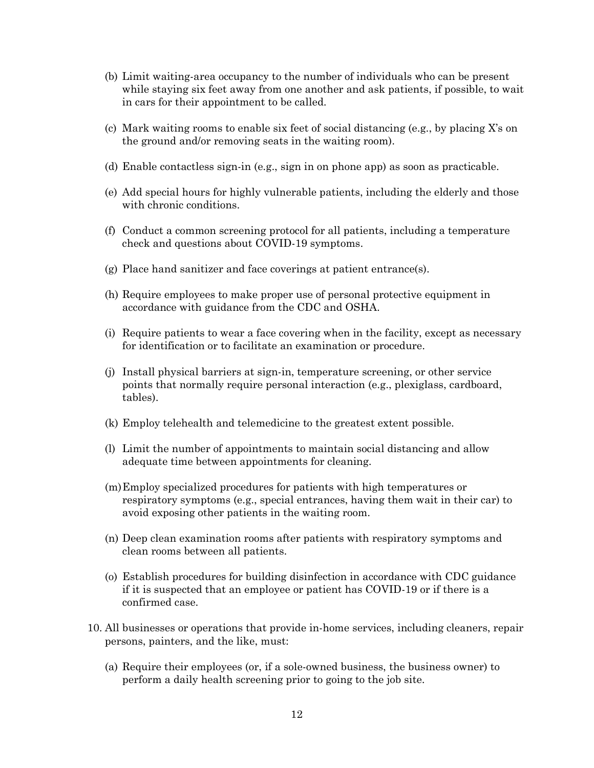- (b) Limit waiting-area occupancy to the number of individuals who can be present while staying six feet away from one another and ask patients, if possible, to wait in cars for their appointment to be called.
- (c) Mark waiting rooms to enable six feet of social distancing (e.g., by placing X's on the ground and/or removing seats in the waiting room).
- (d) Enable contactless sign-in (e.g., sign in on phone app) as soon as practicable.
- (e) Add special hours for highly vulnerable patients, including the elderly and those with chronic conditions.
- (f) Conduct a common screening protocol for all patients, including a temperature check and questions about COVID-19 symptoms.
- (g) Place hand sanitizer and face coverings at patient entrance(s).
- (h) Require employees to make proper use of personal protective equipment in accordance with guidance from the CDC and OSHA.
- (i) Require patients to wear a face covering when in the facility, except as necessary for identification or to facilitate an examination or procedure.
- (j) Install physical barriers at sign-in, temperature screening, or other service points that normally require personal interaction (e.g., plexiglass, cardboard, tables).
- (k) Employ telehealth and telemedicine to the greatest extent possible.
- (l) Limit the number of appointments to maintain social distancing and allow adequate time between appointments for cleaning.
- (m)Employ specialized procedures for patients with high temperatures or respiratory symptoms (e.g., special entrances, having them wait in their car) to avoid exposing other patients in the waiting room.
- (n) Deep clean examination rooms after patients with respiratory symptoms and clean rooms between all patients.
- (o) Establish procedures for building disinfection in accordance with CDC guidance if it is suspected that an employee or patient has COVID-19 or if there is a confirmed case.
- 10. All businesses or operations that provide in-home services, including cleaners, repair persons, painters, and the like, must:
	- (a) Require their employees (or, if a sole-owned business, the business owner) to perform a daily health screening prior to going to the job site.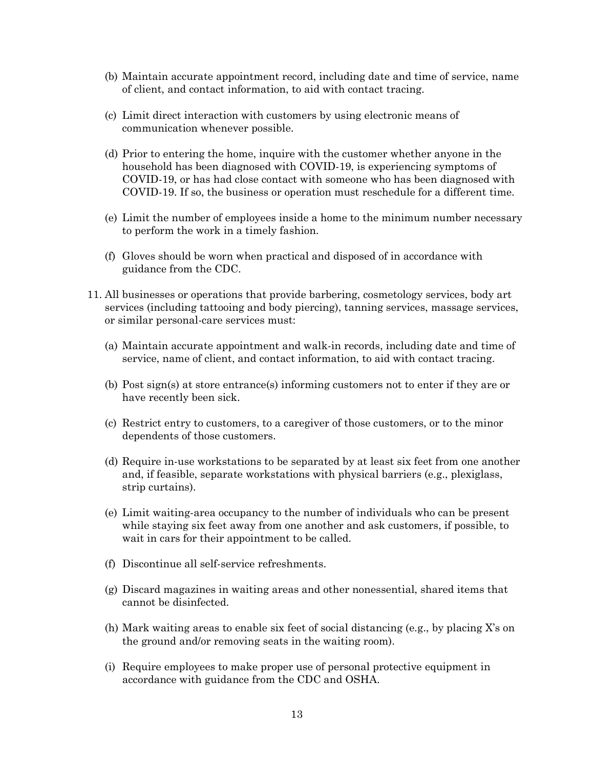- (b) Maintain accurate appointment record, including date and time of service, name of client, and contact information, to aid with contact tracing.
- (c) Limit direct interaction with customers by using electronic means of communication whenever possible.
- (d) Prior to entering the home, inquire with the customer whether anyone in the household has been diagnosed with COVID-19, is experiencing symptoms of COVID-19, or has had close contact with someone who has been diagnosed with COVID-19. If so, the business or operation must reschedule for a different time.
- (e) Limit the number of employees inside a home to the minimum number necessary to perform the work in a timely fashion.
- (f) Gloves should be worn when practical and disposed of in accordance with guidance from the CDC.
- 11. All businesses or operations that provide barbering, cosmetology services, body art services (including tattooing and body piercing), tanning services, massage services, or similar personal-care services must:
	- (a) Maintain accurate appointment and walk-in records, including date and time of service, name of client, and contact information, to aid with contact tracing.
	- (b) Post sign(s) at store entrance(s) informing customers not to enter if they are or have recently been sick.
	- (c) Restrict entry to customers, to a caregiver of those customers, or to the minor dependents of those customers.
	- (d) Require in-use workstations to be separated by at least six feet from one another and, if feasible, separate workstations with physical barriers (e.g., plexiglass, strip curtains).
	- (e) Limit waiting-area occupancy to the number of individuals who can be present while staying six feet away from one another and ask customers, if possible, to wait in cars for their appointment to be called.
	- (f) Discontinue all self-service refreshments.
	- (g) Discard magazines in waiting areas and other nonessential, shared items that cannot be disinfected.
	- (h) Mark waiting areas to enable six feet of social distancing (e.g., by placing X's on the ground and/or removing seats in the waiting room).
	- (i) Require employees to make proper use of personal protective equipment in accordance with guidance from the CDC and OSHA.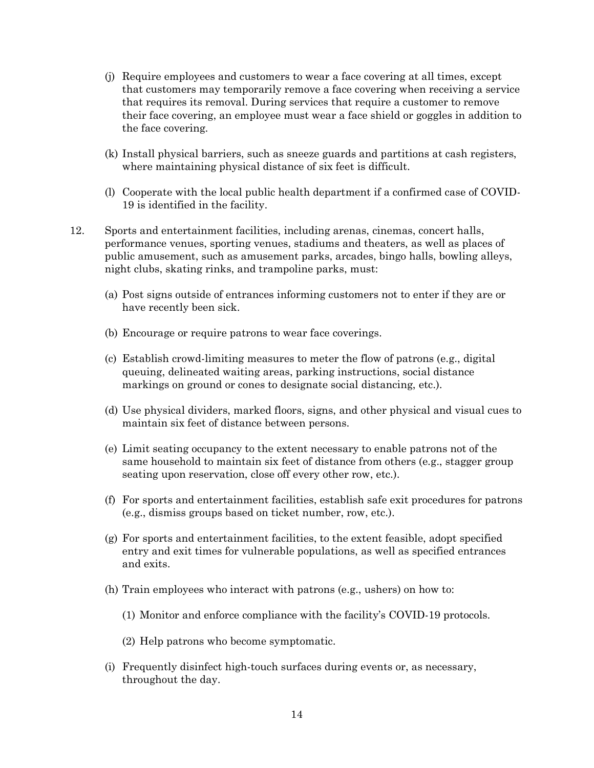- (j) Require employees and customers to wear a face covering at all times, except that customers may temporarily remove a face covering when receiving a service that requires its removal. During services that require a customer to remove their face covering, an employee must wear a face shield or goggles in addition to the face covering.
- (k) Install physical barriers, such as sneeze guards and partitions at cash registers, where maintaining physical distance of six feet is difficult.
- (l) Cooperate with the local public health department if a confirmed case of COVID-19 is identified in the facility.
- 12. Sports and entertainment facilities, including arenas, cinemas, concert halls, performance venues, sporting venues, stadiums and theaters, as well as places of public amusement, such as amusement parks, arcades, bingo halls, bowling alleys, night clubs, skating rinks, and trampoline parks, must:
	- (a) Post signs outside of entrances informing customers not to enter if they are or have recently been sick.
	- (b) Encourage or require patrons to wear face coverings.
	- (c) Establish crowd-limiting measures to meter the flow of patrons (e.g., digital queuing, delineated waiting areas, parking instructions, social distance markings on ground or cones to designate social distancing, etc.).
	- (d) Use physical dividers, marked floors, signs, and other physical and visual cues to maintain six feet of distance between persons.
	- (e) Limit seating occupancy to the extent necessary to enable patrons not of the same household to maintain six feet of distance from others (e.g., stagger group seating upon reservation, close off every other row, etc.).
	- (f) For sports and entertainment facilities, establish safe exit procedures for patrons (e.g., dismiss groups based on ticket number, row, etc.).
	- (g) For sports and entertainment facilities, to the extent feasible, adopt specified entry and exit times for vulnerable populations, as well as specified entrances and exits.
	- (h) Train employees who interact with patrons (e.g., ushers) on how to:
		- (1) Monitor and enforce compliance with the facility's COVID-19 protocols.
		- (2) Help patrons who become symptomatic.
	- (i) Frequently disinfect high-touch surfaces during events or, as necessary, throughout the day.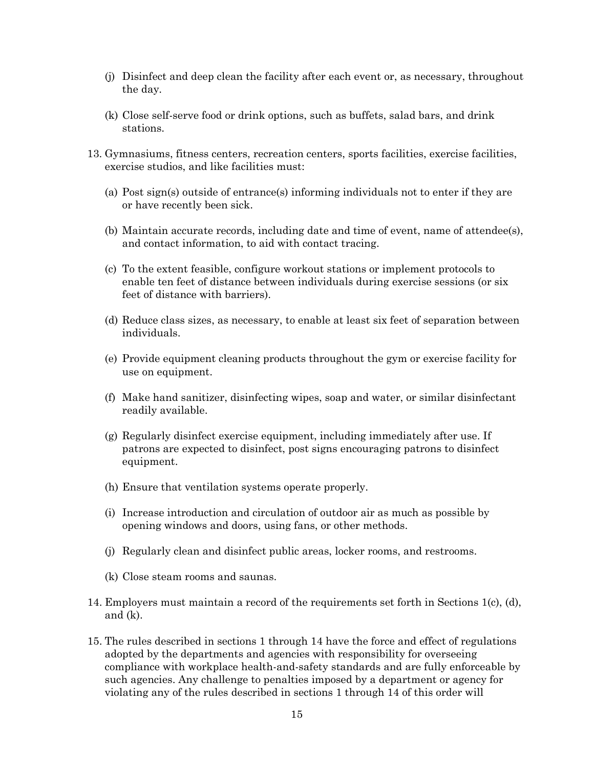- (j) Disinfect and deep clean the facility after each event or, as necessary, throughout the day.
- (k) Close self-serve food or drink options, such as buffets, salad bars, and drink stations.
- 13. Gymnasiums, fitness centers, recreation centers, sports facilities, exercise facilities, exercise studios, and like facilities must:
	- (a) Post sign(s) outside of entrance(s) informing individuals not to enter if they are or have recently been sick.
	- (b) Maintain accurate records, including date and time of event, name of attendee(s), and contact information, to aid with contact tracing.
	- (c) To the extent feasible, configure workout stations or implement protocols to enable ten feet of distance between individuals during exercise sessions (or six feet of distance with barriers).
	- (d) Reduce class sizes, as necessary, to enable at least six feet of separation between individuals.
	- (e) Provide equipment cleaning products throughout the gym or exercise facility for use on equipment.
	- (f) Make hand sanitizer, disinfecting wipes, soap and water, or similar disinfectant readily available.
	- (g) Regularly disinfect exercise equipment, including immediately after use. If patrons are expected to disinfect, post signs encouraging patrons to disinfect equipment.
	- (h) Ensure that ventilation systems operate properly.
	- (i) Increase introduction and circulation of outdoor air as much as possible by opening windows and doors, using fans, or other methods.
	- (j) Regularly clean and disinfect public areas, locker rooms, and restrooms.
	- (k) Close steam rooms and saunas.
- 14. Employers must maintain a record of the requirements set forth in Sections 1(c), (d), and (k).
- 15. The rules described in sections 1 through 14 have the force and effect of regulations adopted by the departments and agencies with responsibility for overseeing compliance with workplace health-and-safety standards and are fully enforceable by such agencies. Any challenge to penalties imposed by a department or agency for violating any of the rules described in sections 1 through 14 of this order will